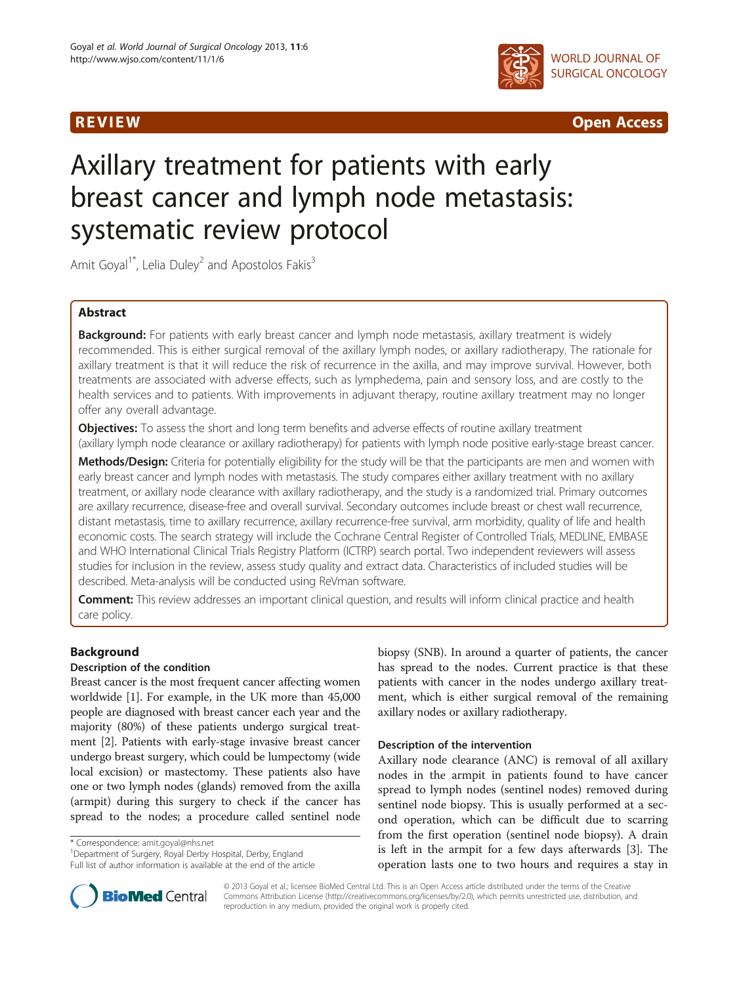

R EVI EW Open Access

# Axillary treatment for patients with early breast cancer and lymph node metastasis: systematic review protocol

Amit Goyal<sup>1\*</sup>, Lelia Duley<sup>2</sup> and Apostolos Fakis<sup>3</sup>

# Abstract

Background: For patients with early breast cancer and lymph node metastasis, axillary treatment is widely recommended. This is either surgical removal of the axillary lymph nodes, or axillary radiotherapy. The rationale for axillary treatment is that it will reduce the risk of recurrence in the axilla, and may improve survival. However, both treatments are associated with adverse effects, such as lymphedema, pain and sensory loss, and are costly to the health services and to patients. With improvements in adjuvant therapy, routine axillary treatment may no longer offer any overall advantage.

**Objectives:** To assess the short and long term benefits and adverse effects of routine axillary treatment (axillary lymph node clearance or axillary radiotherapy) for patients with lymph node positive early-stage breast cancer.

Methods/Design: Criteria for potentially eligibility for the study will be that the participants are men and women with early breast cancer and lymph nodes with metastasis. The study compares either axillary treatment with no axillary treatment, or axillary node clearance with axillary radiotherapy, and the study is a randomized trial. Primary outcomes are axillary recurrence, disease-free and overall survival. Secondary outcomes include breast or chest wall recurrence, distant metastasis, time to axillary recurrence, axillary recurrence-free survival, arm morbidity, quality of life and health economic costs. The search strategy will include the Cochrane Central Register of Controlled Trials, MEDLINE, EMBASE and WHO International Clinical Trials Registry Platform (ICTRP) search portal. Two independent reviewers will assess studies for inclusion in the review, assess study quality and extract data. Characteristics of included studies will be described. Meta-analysis will be conducted using ReVman software.

Comment: This review addresses an important clinical question, and results will inform clinical practice and health care policy.

# Background

# Description of the condition

Breast cancer is the most frequent cancer affecting women worldwide [[1\]](#page-5-0). For example, in the UK more than 45,000 people are diagnosed with breast cancer each year and the majority (80%) of these patients undergo surgical treatment [\[2](#page-5-0)]. Patients with early-stage invasive breast cancer undergo breast surgery, which could be lumpectomy (wide local excision) or mastectomy. These patients also have one or two lymph nodes (glands) removed from the axilla (armpit) during this surgery to check if the cancer has spread to the nodes; a procedure called sentinel node

\* Correspondence: [amit.goyal@nhs.net](mailto:amit.goyal@nhs.net) <sup>1</sup>

<sup>1</sup>Department of Surgery, Royal Derby Hospital, Derby, England Full list of author information is available at the end of the article

biopsy (SNB). In around a quarter of patients, the cancer has spread to the nodes. Current practice is that these patients with cancer in the nodes undergo axillary treatment, which is either surgical removal of the remaining axillary nodes or axillary radiotherapy.

# Description of the intervention

Axillary node clearance (ANC) is removal of all axillary nodes in the armpit in patients found to have cancer spread to lymph nodes (sentinel nodes) removed during sentinel node biopsy. This is usually performed at a second operation, which can be difficult due to scarring from the first operation (sentinel node biopsy). A drain is left in the armpit for a few days afterwards [[3\]](#page-5-0). The operation lasts one to two hours and requires a stay in



© 2013 Goyal et al.; licensee BioMed Central Ltd. This is an Open Access article distributed under the terms of the Creative Commons Attribution License [\(http://creativecommons.org/licenses/by/2.0\)](http://creativecommons.org/licenses/by/2.0), which permits unrestricted use, distribution, and reproduction in any medium, provided the original work is properly cited.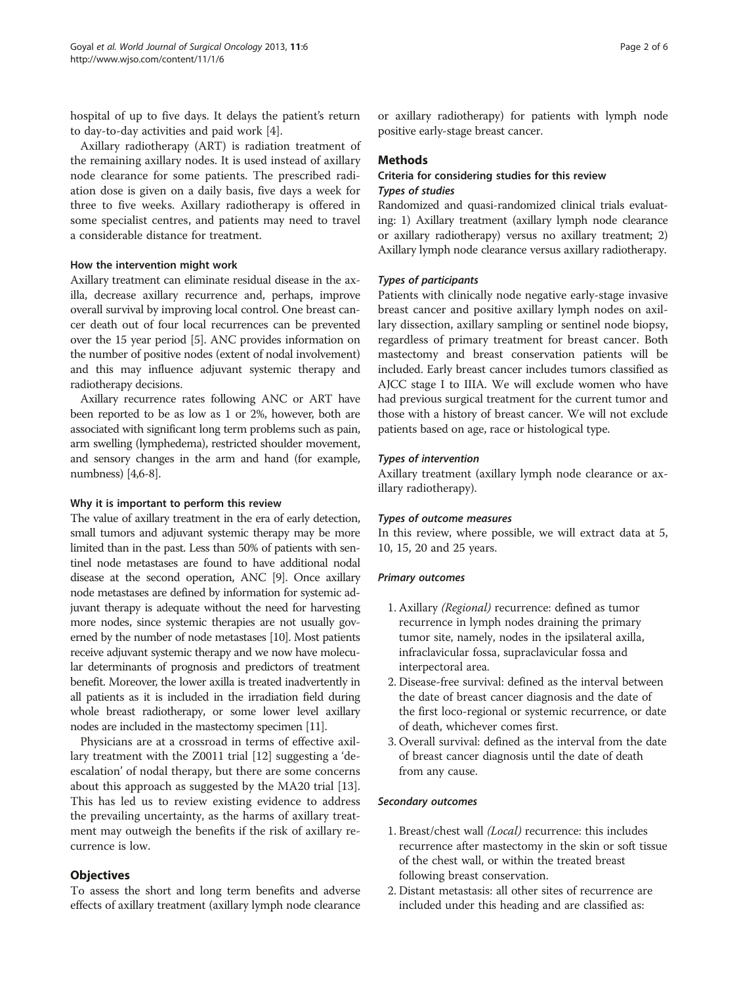hospital of up to five days. It delays the patient's return to day-to-day activities and paid work [[4\]](#page-5-0).

Axillary radiotherapy (ART) is radiation treatment of the remaining axillary nodes. It is used instead of axillary node clearance for some patients. The prescribed radiation dose is given on a daily basis, five days a week for three to five weeks. Axillary radiotherapy is offered in some specialist centres, and patients may need to travel a considerable distance for treatment.

# How the intervention might work

Axillary treatment can eliminate residual disease in the axilla, decrease axillary recurrence and, perhaps, improve overall survival by improving local control. One breast cancer death out of four local recurrences can be prevented over the 15 year period [[5](#page-5-0)]. ANC provides information on the number of positive nodes (extent of nodal involvement) and this may influence adjuvant systemic therapy and radiotherapy decisions.

Axillary recurrence rates following ANC or ART have been reported to be as low as 1 or 2%, however, both are associated with significant long term problems such as pain, arm swelling (lymphedema), restricted shoulder movement, and sensory changes in the arm and hand (for example, numbness) [\[4,6-8\]](#page-5-0).

# Why it is important to perform this review

The value of axillary treatment in the era of early detection, small tumors and adjuvant systemic therapy may be more limited than in the past. Less than 50% of patients with sentinel node metastases are found to have additional nodal disease at the second operation, ANC [\[9\]](#page-5-0). Once axillary node metastases are defined by information for systemic adjuvant therapy is adequate without the need for harvesting more nodes, since systemic therapies are not usually governed by the number of node metastases [\[10\]](#page-5-0). Most patients receive adjuvant systemic therapy and we now have molecular determinants of prognosis and predictors of treatment benefit. Moreover, the lower axilla is treated inadvertently in all patients as it is included in the irradiation field during whole breast radiotherapy, or some lower level axillary nodes are included in the mastectomy specimen [\[11\]](#page-5-0).

Physicians are at a crossroad in terms of effective axillary treatment with the Z0011 trial [\[12](#page-5-0)] suggesting a 'deescalation' of nodal therapy, but there are some concerns about this approach as suggested by the MA20 trial [\[13](#page-5-0)]. This has led us to review existing evidence to address the prevailing uncertainty, as the harms of axillary treatment may outweigh the benefits if the risk of axillary recurrence is low.

# **Objectives**

To assess the short and long term benefits and adverse effects of axillary treatment (axillary lymph node clearance

# **Methods**

# Criteria for considering studies for this review Types of studies

positive early-stage breast cancer.

Randomized and quasi-randomized clinical trials evaluating: 1) Axillary treatment (axillary lymph node clearance or axillary radiotherapy) versus no axillary treatment; 2) Axillary lymph node clearance versus axillary radiotherapy.

# Types of participants

Patients with clinically node negative early-stage invasive breast cancer and positive axillary lymph nodes on axillary dissection, axillary sampling or sentinel node biopsy, regardless of primary treatment for breast cancer. Both mastectomy and breast conservation patients will be included. Early breast cancer includes tumors classified as AJCC stage I to IIIA. We will exclude women who have had previous surgical treatment for the current tumor and those with a history of breast cancer. We will not exclude patients based on age, race or histological type.

# Types of intervention

Axillary treatment (axillary lymph node clearance or axillary radiotherapy).

#### Types of outcome measures

In this review, where possible, we will extract data at 5, 10, 15, 20 and 25 years.

#### Primary outcomes

- 1. Axillary (Regional) recurrence: defined as tumor recurrence in lymph nodes draining the primary tumor site, namely, nodes in the ipsilateral axilla, infraclavicular fossa, supraclavicular fossa and interpectoral area.
- 2. Disease-free survival: defined as the interval between the date of breast cancer diagnosis and the date of the first loco-regional or systemic recurrence, or date of death, whichever comes first.
- 3. Overall survival: defined as the interval from the date of breast cancer diagnosis until the date of death from any cause.

#### Secondary outcomes

- 1. Breast/chest wall (Local) recurrence: this includes recurrence after mastectomy in the skin or soft tissue of the chest wall, or within the treated breast following breast conservation.
- 2. Distant metastasis: all other sites of recurrence are included under this heading and are classified as: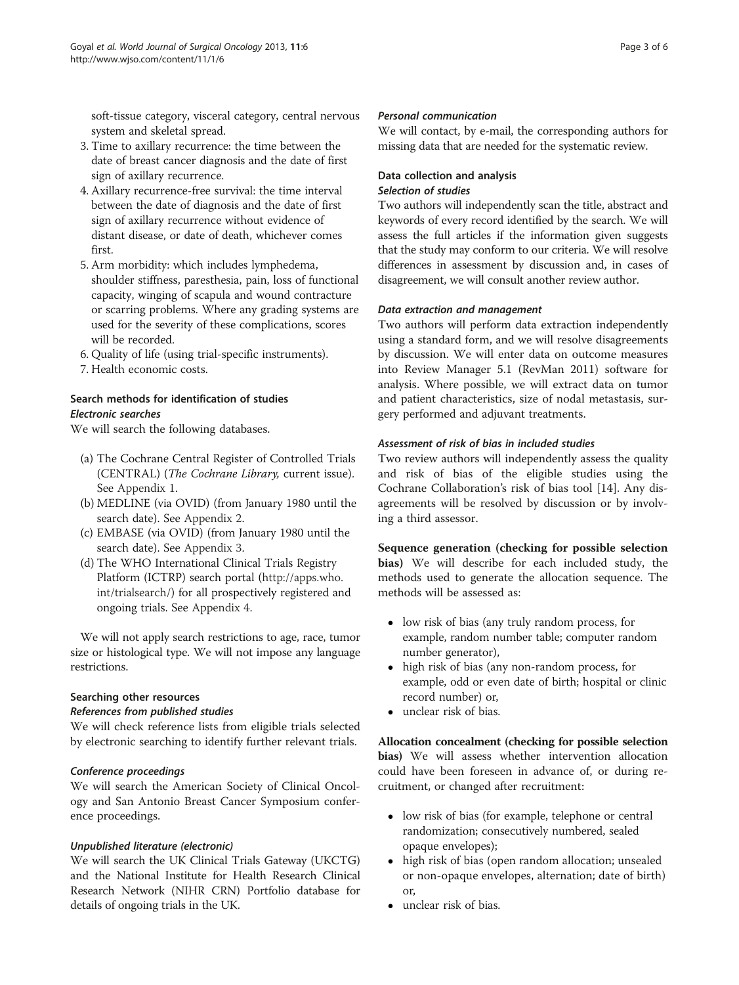soft-tissue category, visceral category, central nervous system and skeletal spread.

- 3. Time to axillary recurrence: the time between the date of breast cancer diagnosis and the date of first sign of axillary recurrence.
- 4. Axillary recurrence-free survival: the time interval between the date of diagnosis and the date of first sign of axillary recurrence without evidence of distant disease, or date of death, whichever comes first.
- 5. Arm morbidity: which includes lymphedema, shoulder stiffness, paresthesia, pain, loss of functional capacity, winging of scapula and wound contracture or scarring problems. Where any grading systems are used for the severity of these complications, scores will be recorded.
- 6. Quality of life (using trial-specific instruments).
- 7. Health economic costs.

# Search methods for identification of studies Electronic searches

We will search the following databases.

- (a) The Cochrane Central Register of Controlled Trials (CENTRAL) (The Cochrane Library, current issue). See [Appendix 1](#page-4-0).
- (b) MEDLINE (via OVID) (from January 1980 until the search date). See [Appendix 2](#page-4-0).
- (c) EMBASE (via OVID) (from January 1980 until the search date). See [Appendix 3](#page-4-0).
- (d) The WHO International Clinical Trials Registry Platform (ICTRP) search portal [\(http://apps.who.](http://apps.who.int/trialsearch/) [int/trialsearch/\)](http://apps.who.int/trialsearch/) for all prospectively registered and ongoing trials. See [Appendix 4](#page-5-0).

We will not apply search restrictions to age, race, tumor size or histological type. We will not impose any language restrictions.

# Searching other resources

# References from published studies

We will check reference lists from eligible trials selected by electronic searching to identify further relevant trials.

# Conference proceedings

We will search the American Society of Clinical Oncology and San Antonio Breast Cancer Symposium conference proceedings.

# Unpublished literature (electronic)

We will search the UK Clinical Trials Gateway (UKCTG) and the National Institute for Health Research Clinical Research Network (NIHR CRN) Portfolio database for details of ongoing trials in the UK.

#### Personal communication

We will contact, by e-mail, the corresponding authors for missing data that are needed for the systematic review.

#### Data collection and analysis Selection of studies

Two authors will independently scan the title, abstract and keywords of every record identified by the search. We will assess the full articles if the information given suggests that the study may conform to our criteria. We will resolve differences in assessment by discussion and, in cases of disagreement, we will consult another review author.

# Data extraction and management

Two authors will perform data extraction independently using a standard form, and we will resolve disagreements by discussion. We will enter data on outcome measures into Review Manager 5.1 (RevMan 2011) software for analysis. Where possible, we will extract data on tumor and patient characteristics, size of nodal metastasis, surgery performed and adjuvant treatments.

# Assessment of risk of bias in included studies

Two review authors will independently assess the quality and risk of bias of the eligible studies using the Cochrane Collaboration's risk of bias tool [\[14](#page-5-0)]. Any disagreements will be resolved by discussion or by involving a third assessor.

Sequence generation (checking for possible selection bias) We will describe for each included study, the methods used to generate the allocation sequence. The methods will be assessed as:

- low risk of bias (any truly random process, for example, random number table; computer random number generator),
- high risk of bias (any non-random process, for example, odd or even date of birth; hospital or clinic record number) or,
- unclear risk of bias.

Allocation concealment (checking for possible selection bias) We will assess whether intervention allocation could have been foreseen in advance of, or during recruitment, or changed after recruitment:

- low risk of bias (for example, telephone or central randomization; consecutively numbered, sealed opaque envelopes);
- high risk of bias (open random allocation; unsealed or non-opaque envelopes, alternation; date of birth) or,
- unclear risk of bias.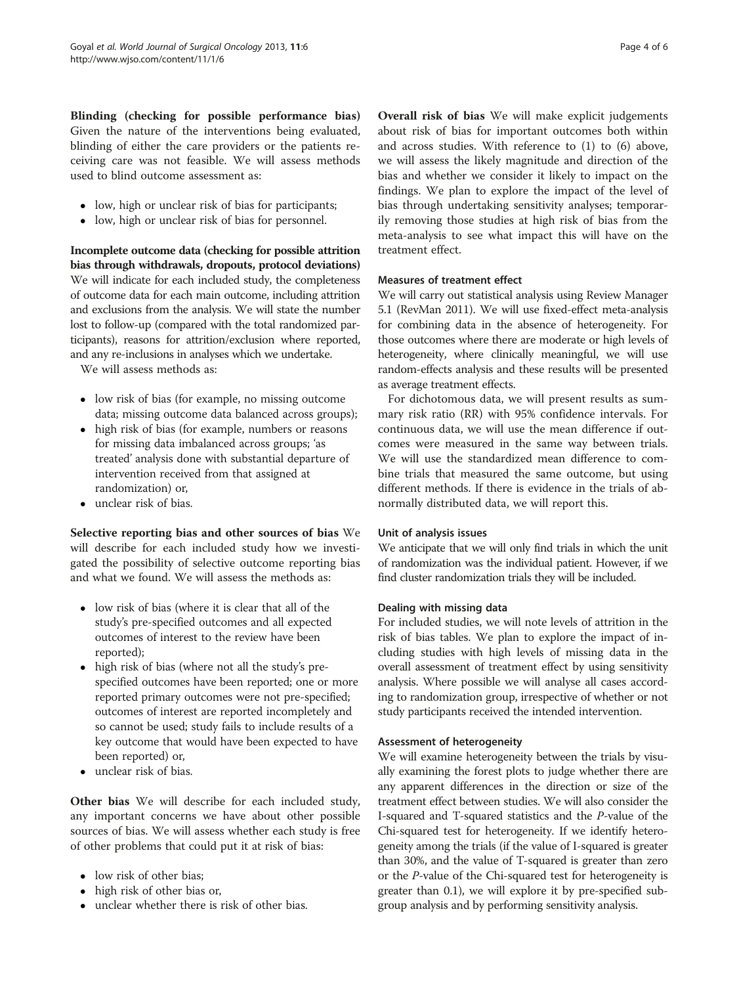Blinding (checking for possible performance bias) Given the nature of the interventions being evaluated, blinding of either the care providers or the patients receiving care was not feasible. We will assess methods used to blind outcome assessment as:

- low, high or unclear risk of bias for participants;
- low, high or unclear risk of bias for personnel.

Incomplete outcome data (checking for possible attrition bias through withdrawals, dropouts, protocol deviations) We will indicate for each included study, the completeness of outcome data for each main outcome, including attrition and exclusions from the analysis. We will state the number lost to follow-up (compared with the total randomized participants), reasons for attrition/exclusion where reported, and any re-inclusions in analyses which we undertake.

We will assess methods as:

- low risk of bias (for example, no missing outcome data; missing outcome data balanced across groups);
- high risk of bias (for example, numbers or reasons for missing data imbalanced across groups; 'as treated' analysis done with substantial departure of intervention received from that assigned at randomization) or,
- unclear risk of bias.

Selective reporting bias and other sources of bias We will describe for each included study how we investigated the possibility of selective outcome reporting bias and what we found. We will assess the methods as:

- low risk of bias (where it is clear that all of the study's pre-specified outcomes and all expected outcomes of interest to the review have been reported);
- high risk of bias (where not all the study's prespecified outcomes have been reported; one or more reported primary outcomes were not pre-specified; outcomes of interest are reported incompletely and so cannot be used; study fails to include results of a key outcome that would have been expected to have been reported) or,
- unclear risk of bias.

Other bias We will describe for each included study, any important concerns we have about other possible sources of bias. We will assess whether each study is free of other problems that could put it at risk of bias:

- low risk of other bias;
- high risk of other bias or,
- unclear whether there is risk of other bias.

Overall risk of bias We will make explicit judgements about risk of bias for important outcomes both within and across studies. With reference to (1) to (6) above, we will assess the likely magnitude and direction of the bias and whether we consider it likely to impact on the findings. We plan to explore the impact of the level of bias through undertaking sensitivity analyses; temporar-

meta-analysis to see what impact this will have on the treatment effect.

# Measures of treatment effect

We will carry out statistical analysis using Review Manager 5.1 (RevMan 2011). We will use fixed-effect meta-analysis for combining data in the absence of heterogeneity. For those outcomes where there are moderate or high levels of heterogeneity, where clinically meaningful, we will use random-effects analysis and these results will be presented as average treatment effects.

ily removing those studies at high risk of bias from the

For dichotomous data, we will present results as summary risk ratio (RR) with 95% confidence intervals. For continuous data, we will use the mean difference if outcomes were measured in the same way between trials. We will use the standardized mean difference to combine trials that measured the same outcome, but using different methods. If there is evidence in the trials of abnormally distributed data, we will report this.

# Unit of analysis issues

We anticipate that we will only find trials in which the unit of randomization was the individual patient. However, if we find cluster randomization trials they will be included.

# Dealing with missing data

For included studies, we will note levels of attrition in the risk of bias tables. We plan to explore the impact of including studies with high levels of missing data in the overall assessment of treatment effect by using sensitivity analysis. Where possible we will analyse all cases according to randomization group, irrespective of whether or not study participants received the intended intervention.

# Assessment of heterogeneity

We will examine heterogeneity between the trials by visually examining the forest plots to judge whether there are any apparent differences in the direction or size of the treatment effect between studies. We will also consider the I-squared and T-squared statistics and the P-value of the Chi-squared test for heterogeneity. If we identify heterogeneity among the trials (if the value of I-squared is greater than 30%, and the value of T-squared is greater than zero or the P-value of the Chi-squared test for heterogeneity is greater than 0.1), we will explore it by pre-specified subgroup analysis and by performing sensitivity analysis.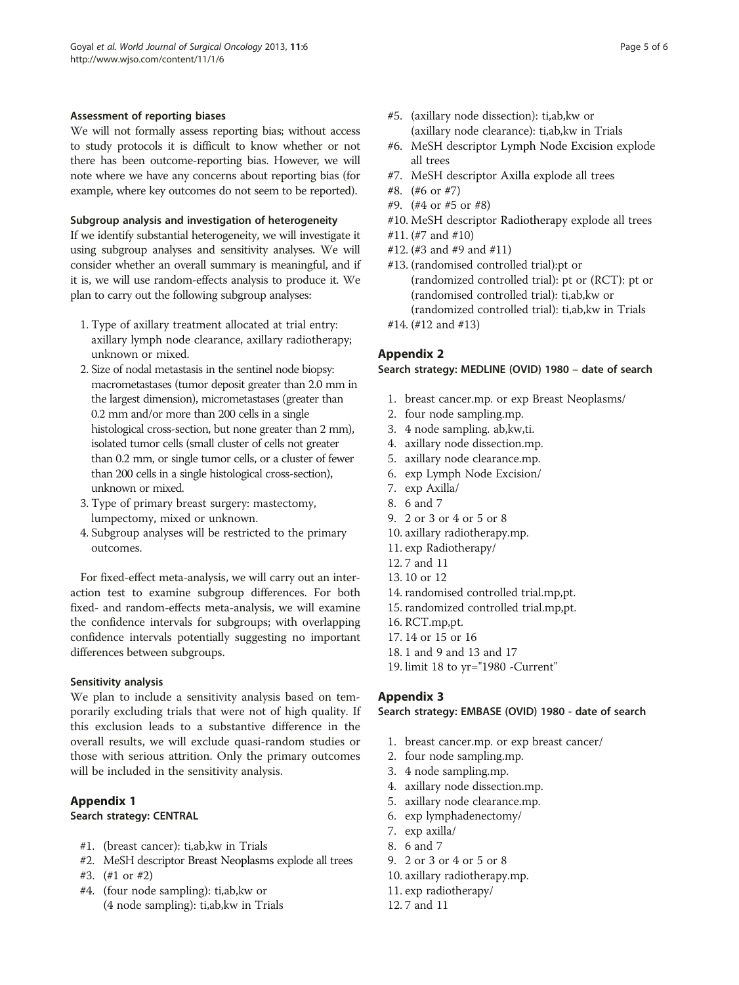# <span id="page-4-0"></span>Assessment of reporting biases

We will not formally assess reporting bias; without access to study protocols it is difficult to know whether or not there has been outcome-reporting bias. However, we will note where we have any concerns about reporting bias (for example, where key outcomes do not seem to be reported).

# Subgroup analysis and investigation of heterogeneity

If we identify substantial heterogeneity, we will investigate it using subgroup analyses and sensitivity analyses. We will consider whether an overall summary is meaningful, and if it is, we will use random-effects analysis to produce it. We plan to carry out the following subgroup analyses:

- 1. Type of axillary treatment allocated at trial entry: axillary lymph node clearance, axillary radiotherapy; unknown or mixed.
- 2. Size of nodal metastasis in the sentinel node biopsy: macrometastases (tumor deposit greater than 2.0 mm in the largest dimension), micrometastases (greater than 0.2 mm and/or more than 200 cells in a single histological cross-section, but none greater than 2 mm), isolated tumor cells (small cluster of cells not greater than 0.2 mm, or single tumor cells, or a cluster of fewer than 200 cells in a single histological cross-section), unknown or mixed.
- 3. Type of primary breast surgery: mastectomy, lumpectomy, mixed or unknown.
- 4. Subgroup analyses will be restricted to the primary outcomes.

For fixed-effect meta-analysis, we will carry out an interaction test to examine subgroup differences. For both fixed- and random-effects meta-analysis, we will examine the confidence intervals for subgroups; with overlapping confidence intervals potentially suggesting no important differences between subgroups.

# Sensitivity analysis

We plan to include a sensitivity analysis based on temporarily excluding trials that were not of high quality. If this exclusion leads to a substantive difference in the overall results, we will exclude quasi-random studies or those with serious attrition. Only the primary outcomes will be included in the sensitivity analysis.

# Appendix 1

# Search strategy: CENTRAL

- #1. (breast cancer): ti,ab,kw in Trials
- #2. MeSH descriptor Breast Neoplasms explode all trees
- #3. (#1 or #2)
- #4. (four node sampling): ti,ab,kw or (4 node sampling): ti,ab,kw in Trials
- #5. (axillary node dissection): ti,ab,kw or (axillary node clearance): ti,ab,kw in Trials
- #6. MeSH descriptor Lymph Node Excision explode all trees
- #7. MeSH descriptor Axilla explode all trees
- #8. (#6 or #7)
- #9. (#4 or #5 or #8)
- #10. MeSH descriptor Radiotherapy explode all trees
- #11. (#7 and #10)
- #12. (#3 and #9 and #11)
- #13. (randomised controlled trial):pt or (randomized controlled trial): pt or (RCT): pt or (randomised controlled trial): ti,ab,kw or (randomized controlled trial): ti,ab,kw in Trials
- #14. (#12 and #13)

# Appendix 2

# Search strategy: MEDLINE (OVID) 1980 – date of search

- 1. breast cancer.mp. or exp Breast Neoplasms/
- 2. four node sampling.mp.
- 3. 4 node sampling. ab,kw,ti.
- 4. axillary node dissection.mp.
- 5. axillary node clearance.mp.
- 6. exp Lymph Node Excision/
- 7. exp Axilla/
- 8. 6 and 7
- 9. 2 or 3 or 4 or 5 or 8
- 10. axillary radiotherapy.mp.
- 11. exp Radiotherapy/
- 12. 7 and 11
- 13. 10 or 12
- 14. randomised controlled trial.mp,pt.
- 15. randomized controlled trial.mp,pt.
- 16. RCT.mp,pt.
- 17. 14 or 15 or 16
- 18. 1 and 9 and 13 and 17
- 19. limit 18 to yr="1980 -Current"

# Appendix 3

Search strategy: EMBASE (OVID) 1980 - date of search

- 1. breast cancer.mp. or exp breast cancer/
- 2. four node sampling.mp.
- 3. 4 node sampling.mp.
- 4. axillary node dissection.mp.
- 5. axillary node clearance.mp.
- 6. exp lymphadenectomy/
- 7. exp axilla/
- 8. 6 and 7
- 9. 2 or 3 or 4 or 5 or 8
- 10. axillary radiotherapy.mp.
- 11. exp radiotherapy/
- 12. 7 and 11